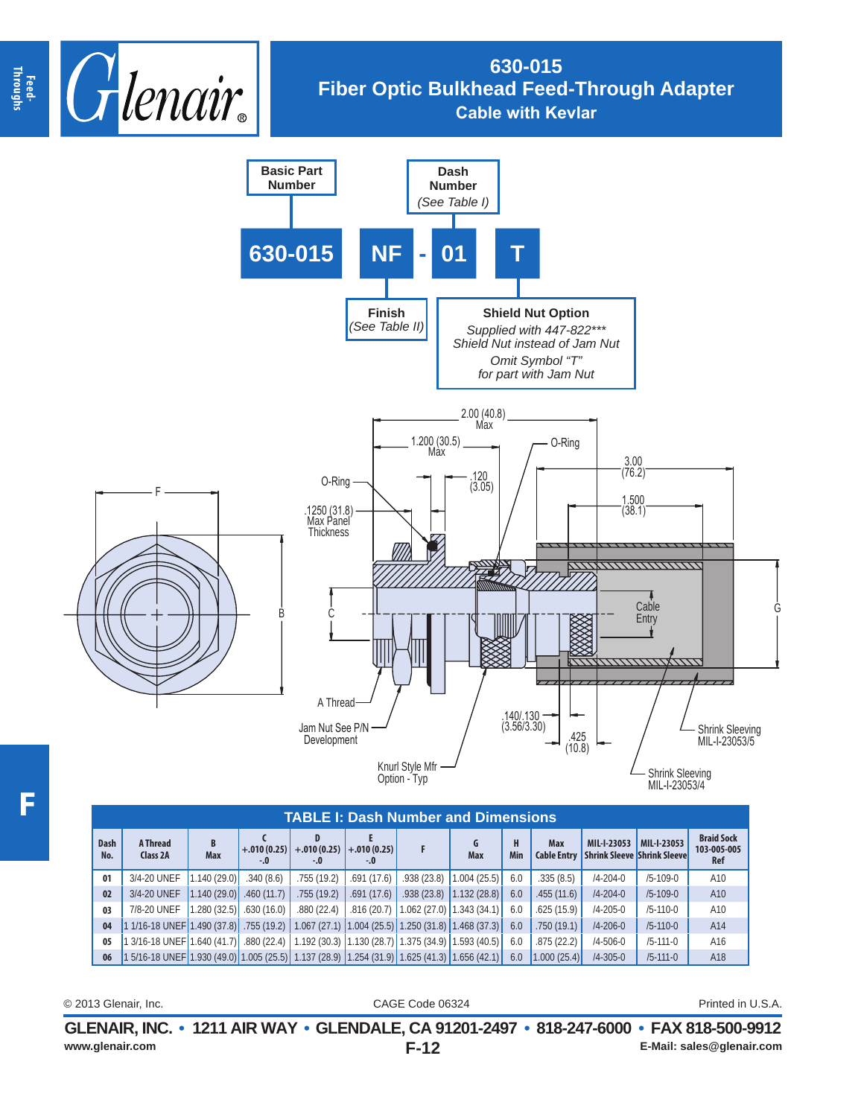

## **630-015 Fiber Optic Bulkhead Feed-Through Adapter Cable with Kevlar**



| TABLE I: Dash Number and Dimensions |                                                                                                         |                 |            |                                                             |            |                            |                 |          |                           |                                                   |                |                                                |
|-------------------------------------|---------------------------------------------------------------------------------------------------------|-----------------|------------|-------------------------------------------------------------|------------|----------------------------|-----------------|----------|---------------------------|---------------------------------------------------|----------------|------------------------------------------------|
| <b>Dash</b><br>No.                  | A Thread<br>Class 2A                                                                                    | B<br><b>Max</b> | $-.0$      | D<br>$+.010(0.25)$ +.010 (0.25) +.010 (0.25)<br>$-.0$       | -.0        |                            | G<br><b>Max</b> | н<br>Min | Max<br><b>Cable Entry</b> | MIL-I-23053<br><b>Shrink Sleeve Shrink Sleeve</b> | MIL-I-23053    | <b>Braid Sock</b><br>103-005-005<br><b>Ref</b> |
| 01                                  | 3/4-20 UNEF                                                                                             | 1.140(29.0)     | .340(8.6)  | .755(19.2)                                                  | .691(17.6) | .938(23.8)                 | 1.004(25.5)     | 6.0      | .335(8.5)                 | $/4 - 204 - 0$                                    | $/5 - 109 - 0$ | A10                                            |
| 02                                  | 3/4-20 UNEF                                                                                             | 1.140(29.0)     | .460(11.7) | .755(19.2)                                                  | .691(17.6) | .938(23.8)                 | 1.132(28.8)     | 6.0      | .455(11.6)                | $/4 - 204 - 0$                                    | $/5 - 109 - 0$ | A10                                            |
| 03                                  | 7/8-20 UNEF                                                                                             | 1.280(32.5)     | .630(16.0) | .880(22.4)                                                  | .816(20.7) | $1.062(27.0)$ 1.343 (34.1) |                 | 6.0      | .625(15.9)                | $/4 - 205 - 0$                                    | $/5 - 110 - 0$ | A10                                            |
| 04                                  | 1 1/16-18 UNEF 1.490 (37.8) 355 (19.2)                                                                  |                 |            | $\vert$ 1.067 (27.1) 1.004 (25.5) 1.250 (31.8) 1.468 (37.3) |            |                            |                 | 6.0      | .750(19.1)                | $/4 - 206 - 0$                                    | $/5 - 110 - 0$ | A14                                            |
| 05                                  | 3/16-18 UNEF   1.640 (41.7)    .880 (22.4)   1.192 (30.3)   1.130 (28.7)   1.375 (34.9)   1.593 (40.5)  |                 |            |                                                             |            |                            |                 | 6.0      | .875(22.2)                | $/4 - 506 - 0$                                    | $/5 - 111 - 0$ | A16                                            |
| 06                                  | $\vert$ 1 5/16-18 UNEF 1.930 (49.0) 1.005 (25.5) 1.137 (28.9) 1.254 (31.9) 1.625 (41.3) 1.656 (42.1) 1. |                 |            |                                                             |            |                            |                 | 6.0      | 1.000(25.4)               | $/4 - 305 - 0$                                    | $/5 - 111 - 0$ | A18                                            |

CAGE Code 06324 © 2013 Glenair, Inc. Printed in U.S.A.

**F-12 GLENAIR, INC. • 1211 AIR WAY • GLENDALE, CA 91201-2497 • 818-247-6000 • FAX 818-500-9912 www.glenair.com E-Mail: sales@glenair.com**